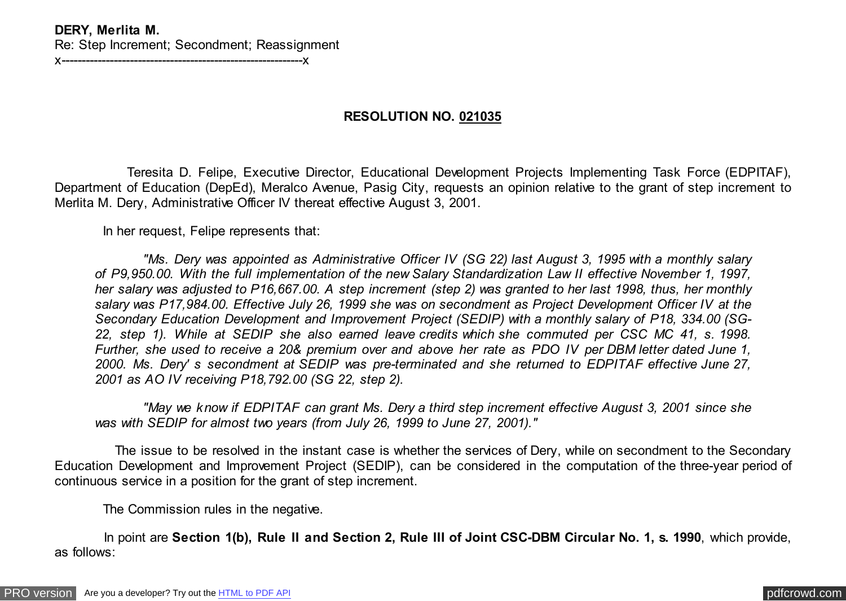## **DERY, Merlita M.** Re: Step Increment; Secondment; Reassignment

x------------------------------------------------------------x

## **RESOLUTION NO. 021035**

 Teresita D. Felipe, Executive Director, Educational Development Projects Implementing Task Force (EDPITAF), Department of Education (DepEd), Meralco Avenue, Pasig City, requests an opinion relative to the grant of step increment to Merlita M. Dery, Administrative Officer IV thereat effective August 3, 2001.

In her request, Felipe represents that:

 *"Ms. Dery was appointed as Administrative Officer IV (SG 22) last August 3, 1995 with a monthly salary of P9,950.00. With the full implementation of the new Salary Standardization Law II effective November 1, 1997, her salary was adjusted to P16,667.00. A step increment (step 2) was granted to her last 1998, thus, her monthly salary was P17,984.00. Effective July 26, 1999 she was on secondment as Project Development Officer IV at the Secondary Education Development and Improvement Project (SEDIP) with a monthly salary of P18, 334.00 (SG-22, step 1). While at SEDIP she also earned leave credits which she commuted per CSC MC 41, s. 1998. Further, she used to receive a 20& premium over and above her rate as PDO IV per DBM letter dated June 1, 2000. Ms. Dery' s secondment at SEDIP was pre-terminated and she returned to EDPITAF effective June 27, 2001 as AO IV receiving P18,792.00 (SG 22, step 2).*

 *"May we know if EDPITAF can grant Ms. Dery a third step increment effective August 3, 2001 since she was with SEDIP for almost two years (from July 26, 1999 to June 27, 2001)."*

 The issue to be resolved in the instant case is whether the services of Dery, while on secondment to the Secondary Education Development and Improvement Project (SEDIP), can be considered in the computation of the three-year period of continuous service in a position for the grant of step increment.

The Commission rules in the negative.

 In point are **Section 1(b), Rule II and Section 2, Rule III of Joint CSC-DBM Circular No. 1, s. 1990**, which provide, as follows: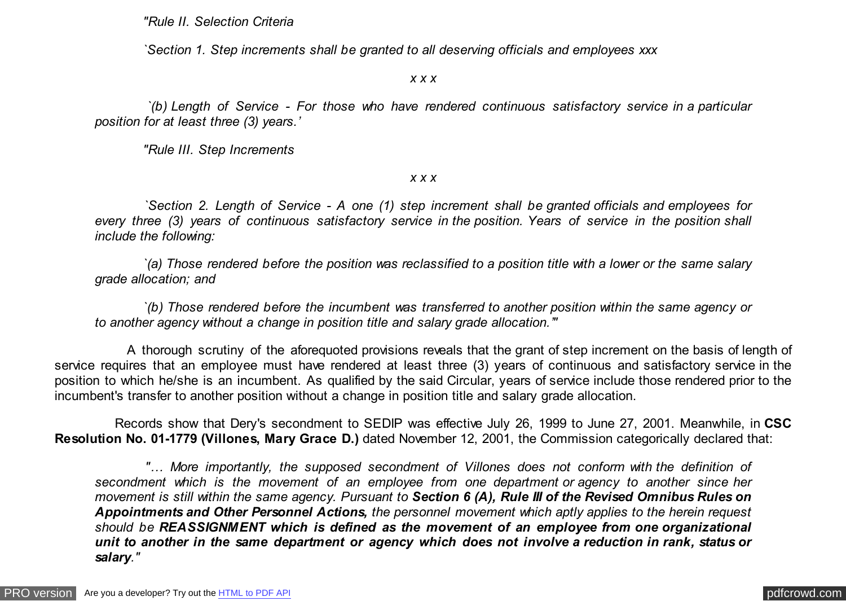*"Rule II. Selection Criteria*

 *`Section 1. Step increments shall be granted to all deserving officials and employees xxx*

*x x x*

 *`(b) Length of Service - For those who have rendered continuous satisfactory service in a particular position for at least three (3) years.'*

 *"Rule III. Step Increments*

*x x x*

 *`Section 2. Length of Service - A one (1) step increment shall be granted officials and employees for every three (3) years of continuous satisfactory service in the position. Years of service in the position shall include the following:*

 *`(a) Those rendered before the position was reclassified to a position title with a lower or the same salary grade allocation; and*

 *`(b) Those rendered before the incumbent was transferred to another position within the same agency or to another agency without a change in position title and salary grade allocation.'"*

 A thorough scrutiny of the aforequoted provisions reveals that the grant of step increment on the basis of length of service requires that an employee must have rendered at least three (3) years of continuous and satisfactory service in the position to which he/she is an incumbent. As qualified by the said Circular, years of service include those rendered prior to the incumbent's transfer to another position without a change in position title and salary grade allocation.

 Records show that Dery's secondment to SEDIP was effective July 26, 1999 to June 27, 2001. Meanwhile, in **CSC Resolution No. 01-1779 (Villones, Mary Grace D.)** dated November 12, 2001, the Commission categorically declared that:

 *"… More importantly, the supposed secondment of Villones does not conform with the definition of secondment which is the movement of an employee from one department or agency to another since her movement is still within the same agency. Pursuant to Section 6 (A), Rule III of the Revised Omnibus Rules on Appointments and Other Personnel Actions, the personnel movement which aptly applies to the herein request should be REASSIGNMENT which is defined as the movement of an employee from one organizational unit to another in the same department or agency which does not involve a reduction in rank, status or salary."*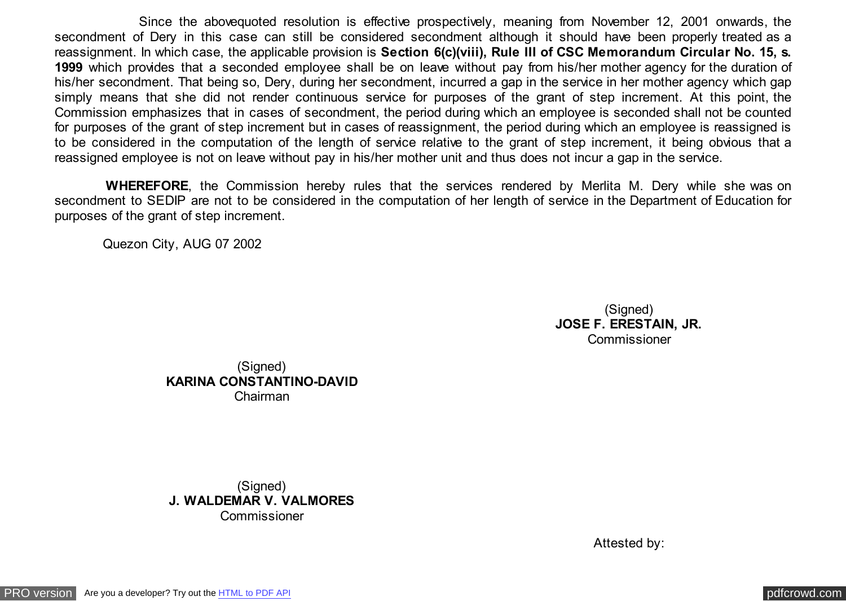Since the abovequoted resolution is effective prospectively, meaning from November 12, 2001 onwards, the secondment of Dery in this case can still be considered secondment although it should have been properly treated as a reassignment. In which case, the applicable provision is **Section 6(c)(viii), Rule III of CSC Memorandum Circular No. 15, s. 1999** which provides that a seconded employee shall be on leave without pay from his/her mother agency for the duration of his/her secondment. That being so, Dery, during her secondment, incurred a gap in the service in her mother agency which gap simply means that she did not render continuous service for purposes of the grant of step increment. At this point, the Commission emphasizes that in cases of secondment, the period during which an employee is seconded shall not be counted for purposes of the grant of step increment but in cases of reassignment, the period during which an employee is reassigned is to be considered in the computation of the length of service relative to the grant of step increment, it being obvious that a reassigned employee is not on leave without pay in his/her mother unit and thus does not incur a gap in the service.

 **WHEREFORE**, the Commission hereby rules that the services rendered by Merlita M. Dery while she was on secondment to SEDIP are not to be considered in the computation of her length of service in the Department of Education for purposes of the grant of step increment.

Quezon City, AUG 07 2002

(Signed) **JOSE F. ERESTAIN, JR. Commissioner** 

(Signed) **KARINA CONSTANTINO-DAVID** Chairman

(Signed) **J. WALDEMAR V. VALMORES** Commissioner

Attested by: